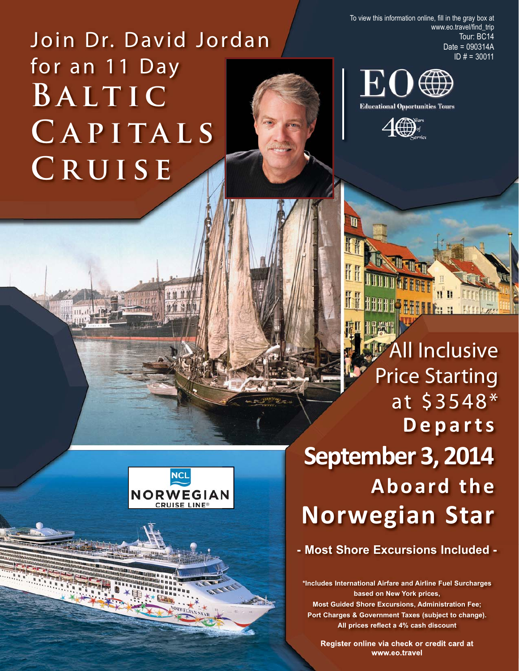Join Dr. David Jordan for an 11 Day **Baltic** CAPITALS **Cruise**

To view this information online, fill in the gray box at www.eo.travel/find\_trip Tour: BC14 Date = 090314A ID # = 30011





All Inclusive Price Starting at \$3548\* **Departs September 3, 2014 Aboard the Norwegian Star**

**THTLE** 

**- Most Shore Excursions Included -**

**\*Includes International Airfare and Airline Fuel Surcharges based on New York prices, Most Guided Shore Excursions, Administration Fee; Port Charges & Government Taxes (subject to change).**

**All prices reflect a 4% cash discount**

**Register online via check or credit card at www.eo.travel**

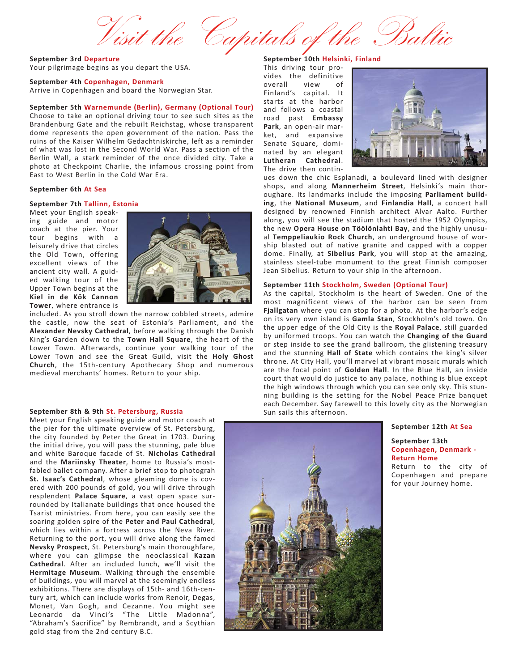Visit the Capitals of

**September 3rd Departure** Your pilgrimage begins as you depart the USA.

## **September 4th Copenhagen, Denmark**

Arrive in Copenhagen and board the Norwegian Star.

# **September 5th Warnemunde (Berlin), Germany (Optional Tour)**

Choose to take an optional driving tour to see such sites as the Brandenburg Gate and the rebuilt Reichstag, whose transparent dome represents the open government of the nation. Pass the ruins of the Kaiser Wilhelm Gedachtniskirche, left as a reminder of what was lost in the Second World War. Pass a section of the Berlin Wall, a stark reminder of the once divided city. Take a photo at Checkpoint Charlie, the infamous crossing point from East to West Berlin in the Cold War Era.

## **September 6th At Sea**

# **September 7th Tallinn, Estonia**

Meet your English speak‐ ing guide and motor coach at the pier. Your tour begins with a leisurely drive that circles the Old Town, offering excellent views of the ancient city wall. A guid‐ ed walking tour of the Upper Town begins at the **Kiel in de Kök Cannon Tower**, where entrance is



included. As you stroll down the narrow cobbled streets, admire the castle, now the seat of Estonia's Parliament, and the **Alexander Nevsky Cathedral**, before walking through the Danish King's Garden down to the **Town Hall Square**, the heart of the Lower Town. Afterwards, continue your walking tour of the Lower Town and see the Great Guild, visit the **Holy Ghost Church**, the 15th‐century Apothecary Shop and numerous medieval merchants' homes. Return to your ship.

## **September 8th & 9th St. Petersburg, Russia**

Meet your English speaking guide and motor coach at the pier for the ultimate overview of St. Petersburg, the city founded by Peter the Great in 1703. During the initial drive, you will pass the stunning, pale blue and white Baroque facade of St. **Nicholas Cathedral** and the **Mariinsky Theater**, home to Russia's most‐ fabled ballet company. After a brief stop to photograh **St. Isaac's Cathedral**, whose gleaming dome is cov‐ ered with 200 pounds of gold, you will drive through resplendent **Palace Square**, a vast open space sur‐ rounded by Italianate buildings that once housed the Tsarist ministries. From here, you can easily see the soaring golden spire of the **Peter and Paul Cathedral**, which lies within a fortress across the Neva River. Returning to the port, you will drive along the famed **Nevsky Prospect**, St. Petersburg's main thoroughfare, where you can glimpse the neoclassical **Kazan Cathedral**. After an included lunch, we'll visit the **Hermitage Museum**. Walking through the ensemble of buildings, you will marvel at the seemingly endless exhibitions. There are displays of 15th‐ and 16th‐cen‐ tury art, which can include works from Renoir, Degas, Monet, Van Gogh, and Cezanne. You might see Leonardo da Vinci's "The Little Madonna", "Abraham's Sacrifice" by Rembrandt, and a Scythian gold stag from the 2nd century B.C.

# **September 10th Helsinki, Finland**

This driving tour pro‐ vides the definitive overall view of Finland's capital. It starts at the harbor and follows a coastal road past **Embassy Park**, an open‐air mar‐ ket, and expansive Senate Square, domi‐ nated by an elegant **Lutheran Cathedral**. The drive then contin‐



ues down the chic Esplanadi, a boulevard lined with designer shops, and along **Mannerheim Street**, Helsinki's main thor‐ oughare. Its landmarks include the imposing **Parliament build‐ ing**, the **National Museum**, and **Finlandia Hall**, a concert hall designed by renowned Finnish architect Alvar Aalto. Further along, you will see the stadium that hosted the 1952 Olympics, the new **Opera House on Töölönlahti Bay**, and the highly unusu‐ al **Temppeliaukio Rock Church**, an underground house of wor‐ ship blasted out of native granite and capped with a copper dome. Finally, at **Sibelius Park**, you will stop at the amazing, stainless steel-tube monument to the great Finnish composer Jean Sibelius. Return to your ship in the afternoon.

### **September 11th Stockholm, Sweden (Optional Tour)**

As the capital, Stockholm is the heart of Sweden. One of the most magnificent views of the harbor can be seen from **Fjallgatan** where you can stop for a photo. At the harbor's edge on its very own island is **Gamla Stan**, Stockholm's old town. On the upper edge of the Old City is the **Royal Palace**, still guarded by uniformed troops. You can watch the **Changing of the Guard** or step inside to see the grand ballroom, the glistening treasury and the stunning **Hall of State** which contains the king's silver throne. At City Hall, you'll marvel at vibrant mosaic murals which are the focal point of **Golden Hall**. In the Blue Hall, an inside court that would do justice to any palace, nothing is blue except the high windows through which you can see only sky. This stun‐ ning building is the setting for the Nobel Peace Prize banquet each December. Say farewell to this lovely city as the Norwegian Sun sails this afternoon.

#### **September 12th At Sea**

**September 13th Copenhagen, Denmark ‐ Return Home**

Return to the city of Copenhagen and prepare for your Journey home.

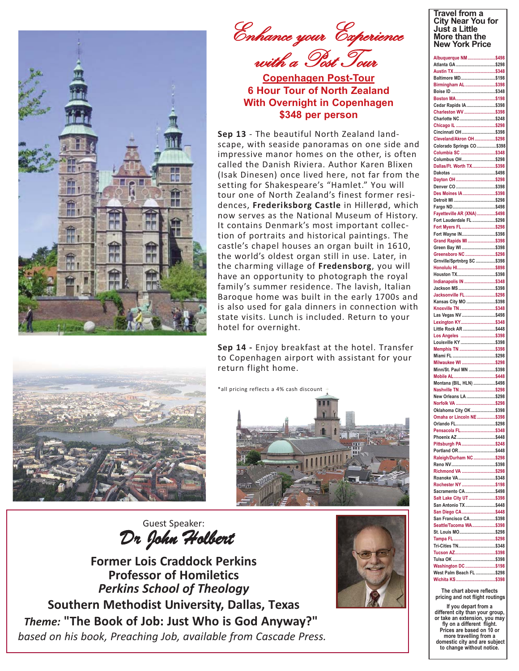



Enhance your Experience with a Post Tour

**Copenhagen Post-Tour 6 Hour Tour of North Zealand With Overnight in Copenhagen \$348 per person**

**Sep 13** ‐ The beautiful North Zealand land‐ scape, with seaside panoramas on one side and impressive manor homes on the other, is often called the Danish Riviera. Author Karen Blixen (Isak Dinesen) once lived here, not far from the setting for Shakespeare's "Hamlet." You will tour one of North Zealand's finest former resi‐ dences, **Frederiksborg Castle** in Hillerød, which now serves as the National Museum of History. It contains Denmark's most important collec‐ tion of portraits and historical paintings. The castle's chapel houses an organ built in 1610, the world's oldest organ still in use. Later, in the charming village of **Fredensborg**, you will have an opportunity to photograph the royal family's summer residence. The lavish, Italian Baroque home was built in the early 1700s and is also used for gala dinners in connection with state visits. Lunch is included. Return to your hotel for overnight.

**Sep 14 ‐** Enjoy breakfast at the hotel. Transfer to Copenhagen airport with assistant for your return flight home.

\*all pricing reflects a 4% cash discount



Guest Speaker: Dr John Holbert

**Former Lois Craddock Perkins Professor of Homiletics**  *Perkins School of Theology*  **Southern Methodist University, Dallas, Texas** *Theme:* **"The Book of Job: Just Who is God Anyway?"** *based on his book, Preaching Job, available from Cascade Press.*



## **Travel from a City Near You for Just a Little More than the New York Price**

| Albuquerque NM \$498                           |  |
|------------------------------------------------|--|
|                                                |  |
| Baltimore MD\$198                              |  |
| Birmingham AL \$398                            |  |
|                                                |  |
| Cedar Rapids IA\$398                           |  |
| Charleston WV \$398<br>Charlotte NC\$248       |  |
|                                                |  |
| Cincinnati OH \$398<br>Cleveland/Akron OH\$298 |  |
| Colorado Springs CO\$398                       |  |
| Columbia SC \$348                              |  |
| Columbus OH\$298<br>Dallas/Ft. Worth TX\$398   |  |
|                                                |  |
|                                                |  |
| Des Moines IA \$398                            |  |
|                                                |  |
| Fayetteville AR (XNA) \$498                    |  |
| Fort Lauderdale FL \$298                       |  |
| Fort Myers FL\$298                             |  |
| Fort Wayne IN\$398<br>Grand Rapids MI\$398     |  |
| Green Bay WI \$398                             |  |
| Greensboro NC \$298                            |  |
| Grnville/Sprtnbrg SC \$398<br>Honolulu HI\$898 |  |
| Houston TX\$398                                |  |
| Indianapolis IN \$348                          |  |
| Jackson MS\$398<br>Jacksonville FL\$298        |  |
| Kansas City MO \$398                           |  |
| Knoxville TN\$348                              |  |
| Las Vegas NV\$498<br>Lexington KY\$348         |  |
| Little Rock AR \$448                           |  |
| Los Angeles \$398                              |  |
| Louisville KY \$398                            |  |
|                                                |  |
| Memphis TN \$398                               |  |
| Milwaukee WI \$298                             |  |
| Minn/St. Paul MN \$398                         |  |
| Montana (BIL, HLN) \$498                       |  |
| Nashville TN \$298                             |  |
| New Orleans LA \$298                           |  |
| Oklahoma City OK \$398                         |  |
| Omaha or Lincoln NE\$398                       |  |
| Orlando FL\$298                                |  |
| Pensacola FL\$348<br>Phoenix AZ\$448           |  |
| Pittsburgh PA\$248                             |  |
| Portland OR\$448<br>Raleigh/Durham NC \$298    |  |
|                                                |  |
| Richmond VA \$298                              |  |
| Roanoke VA\$348<br>Rochester NY \$198          |  |
| Sacramento CA \$498                            |  |
| Salt Lake City UT \$398                        |  |
| San Antonio TX \$448<br>San Diego CA\$448      |  |
| San Francisco CA\$398                          |  |
| Seattle/Tacoma WA\$398                         |  |
| St. Louis MO\$298                              |  |
| Tri-Cities TN\$348                             |  |
|                                                |  |
| Washington DC \$198                            |  |
| West Palm Beach FL \$298<br>Wichita KS\$398    |  |

**The chart above reflects pricing and not flight routings**

**If you depart from a different city than your group, or take an extension, you may fly on a different flight. Prices are based on 10 or more travelling from a domestic city and are subject to change without notice.**